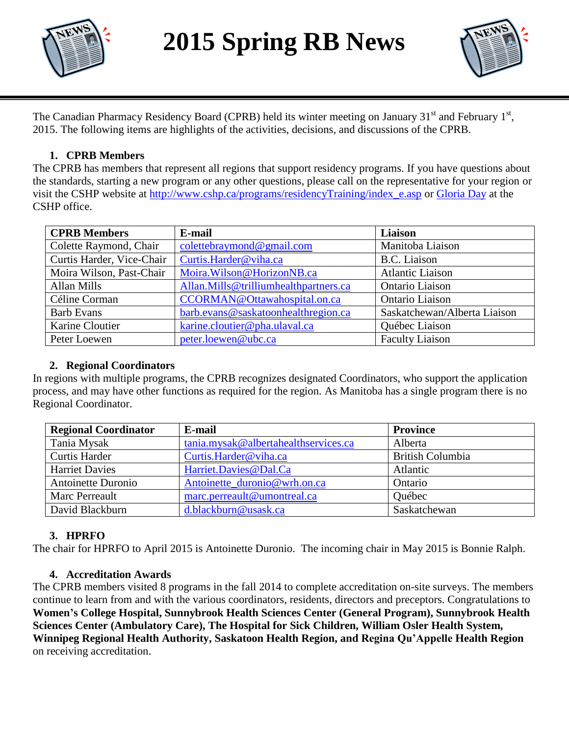

**2015 Spring RB News**



The Canadian Pharmacy Residency Board (CPRB) held its winter meeting on January 31<sup>st</sup> and February 1<sup>st</sup>, 2015. The following items are highlights of the activities, decisions, and discussions of the CPRB.

# **1. CPRB Members**

The CPRB has members that represent all regions that support residency programs. If you have questions about the standards, starting a new program or any other questions, please call on the representative for your region or visit the CSHP website at [http://www.cshp.ca/programs/residencyTraining/index\\_e.asp](http://www.cshp.ca/programs/residencyTraining/index_e.asp) or [Gloria Day](mailto:gday@cshp.ca) at the CSHP office.

| <b>CPRB</b> Members       | E-mail                                | Liaison                      |
|---------------------------|---------------------------------------|------------------------------|
| Colette Raymond, Chair    | colettebraymond@gmail.com             | Manitoba Liaison             |
| Curtis Harder, Vice-Chair | Curtis.Harder@viha.ca                 | B.C. Liaison                 |
| Moira Wilson, Past-Chair  | Moira. Wilson@HorizonNB.ca            | <b>Atlantic Liaison</b>      |
| Allan Mills               | Allan.Mills@trilliumhealthpartners.ca | Ontario Liaison              |
| Céline Corman             | CCORMAN@Ottawahospital.on.ca          | Ontario Liaison              |
| <b>Barb Evans</b>         | barb.evans@saskatoonhealthregion.ca   | Saskatchewan/Alberta Liaison |
| Karine Cloutier           | karine.cloutier@pha.ulaval.ca         | Québec Liaison               |
| Peter Loewen              | peter.loewen@ubc.ca                   | <b>Faculty Liaison</b>       |

# **2. Regional Coordinators**

In regions with multiple programs, the CPRB recognizes designated Coordinators, who support the application process, and may have other functions as required for the region. As Manitoba has a single program there is no Regional Coordinator.

| <b>Regional Coordinator</b> | E-mail                               | <b>Province</b>         |
|-----------------------------|--------------------------------------|-------------------------|
| Tania Mysak                 | tania.mysak@albertahealthservices.ca | Alberta                 |
| <b>Curtis Harder</b>        | Curtis.Harder@viha.ca                | <b>British Columbia</b> |
| <b>Harriet Davies</b>       | Harriet.Davies@Dal.Ca                | Atlantic                |
| Antoinette Duronio          | Antoinette_duronio@wrh.on.ca         | Ontario                 |
| Marc Perreault              | marc.perreault@umontreal.ca          | Québec                  |
| David Blackburn             | d.blackburn@usask.ca                 | Saskatchewan            |

#### **3. HPRFO**

The chair for HPRFO to April 2015 is Antoinette Duronio. The incoming chair in May 2015 is Bonnie Ralph.

#### **4. Accreditation Awards**

The CPRB members visited 8 programs in the fall 2014 to complete accreditation on-site surveys. The members continue to learn from and with the various coordinators, residents, directors and preceptors. Congratulations to **Women's College Hospital, Sunnybrook Health Sciences Center (General Program), Sunnybrook Health Sciences Center (Ambulatory Care), The Hospital for Sick Children, William Osler Health System, Winnipeg Regional Health Authority, Saskatoon Health Region, and Regina Qu'Appelle Health Region** on receiving accreditation.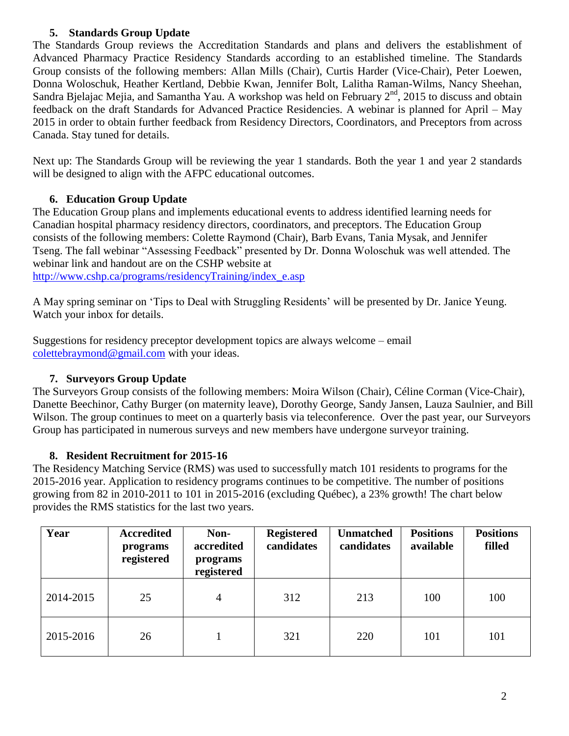# **5. Standards Group Update**

The Standards Group reviews the Accreditation Standards and plans and delivers the establishment of Advanced Pharmacy Practice Residency Standards according to an established timeline. The Standards Group consists of the following members: Allan Mills (Chair), Curtis Harder (Vice-Chair), Peter Loewen, Donna Woloschuk, Heather Kertland, Debbie Kwan, Jennifer Bolt, Lalitha Raman-Wilms, Nancy Sheehan, Sandra Bjelajac Mejia, and Samantha Yau. A workshop was held on February  $2<sup>nd</sup>$ , 2015 to discuss and obtain feedback on the draft Standards for Advanced Practice Residencies. A webinar is planned for April – May 2015 in order to obtain further feedback from Residency Directors, Coordinators, and Preceptors from across Canada. Stay tuned for details.

Next up: The Standards Group will be reviewing the year 1 standards. Both the year 1 and year 2 standards will be designed to align with the AFPC educational outcomes.

# **6. Education Group Update**

The Education Group plans and implements educational events to address identified learning needs for Canadian hospital pharmacy residency directors, coordinators, and preceptors. The Education Group consists of the following members: Colette Raymond (Chair), Barb Evans, Tania Mysak, and Jennifer Tseng. The fall webinar "Assessing Feedback" presented by Dr. Donna Woloschuk was well attended. The webinar link and handout are on the CSHP website at [http://www.cshp.ca/programs/residencyTraining/index\\_e.asp](http://www.cshp.ca/programs/residencyTraining/index_e.asp)

A May spring seminar on 'Tips to Deal with Struggling Residents' will be presented by Dr. Janice Yeung. Watch your inbox for details.

Suggestions for residency preceptor development topics are always welcome – email [colettebraymond@gmail.com](mailto:colettebraymond@gmail.com) with your ideas.

# **7. Surveyors Group Update**

The Surveyors Group consists of the following members: Moira Wilson (Chair), Céline Corman (Vice-Chair), Danette Beechinor, Cathy Burger (on maternity leave), Dorothy George, Sandy Jansen, Lauza Saulnier, and Bill Wilson. The group continues to meet on a quarterly basis via teleconference. Over the past year, our Surveyors Group has participated in numerous surveys and new members have undergone surveyor training.

#### **8. Resident Recruitment for 2015-16**

The Residency Matching Service (RMS) was used to successfully match 101 residents to programs for the 2015-2016 year. Application to residency programs continues to be competitive. The number of positions growing from 82 in 2010-2011 to 101 in 2015-2016 (excluding Québec), a 23% growth! The chart below provides the RMS statistics for the last two years.

| Year      | <b>Accredited</b><br>programs<br>registered | Non-<br>accredited<br>programs<br>registered | <b>Registered</b><br>candidates | <b>Unmatched</b><br>candidates | <b>Positions</b><br>available | <b>Positions</b><br>filled |
|-----------|---------------------------------------------|----------------------------------------------|---------------------------------|--------------------------------|-------------------------------|----------------------------|
| 2014-2015 | 25                                          | 4                                            | 312                             | 213                            | 100                           | 100                        |
| 2015-2016 | 26                                          |                                              | 321                             | 220                            | 101                           | 101                        |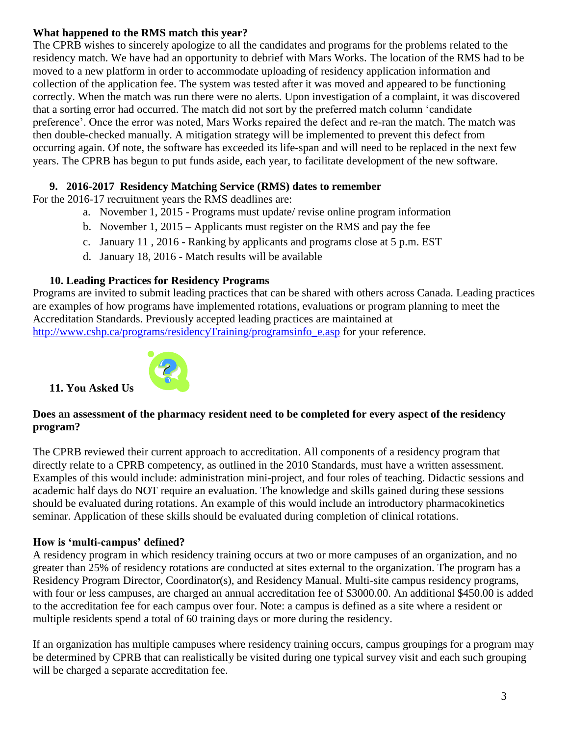# **What happened to the RMS match this year?**

The CPRB wishes to sincerely apologize to all the candidates and programs for the problems related to the residency match. We have had an opportunity to debrief with Mars Works. The location of the RMS had to be moved to a new platform in order to accommodate uploading of residency application information and collection of the application fee. The system was tested after it was moved and appeared to be functioning correctly. When the match was run there were no alerts. Upon investigation of a complaint, it was discovered that a sorting error had occurred. The match did not sort by the preferred match column 'candidate preference'. Once the error was noted, Mars Works repaired the defect and re-ran the match. The match was then double-checked manually. A mitigation strategy will be implemented to prevent this defect from occurring again. Of note, the software has exceeded its life-span and will need to be replaced in the next few years. The CPRB has begun to put funds aside, each year, to facilitate development of the new software.

### **9. 2016-2017 Residency Matching Service (RMS) dates to remember**

For the 2016-17 recruitment years the RMS deadlines are:

- a. November 1, 2015 Programs must update/ revise online program information
- b. November 1, 2015 Applicants must register on the RMS and pay the fee
- c. January 11 , 2016 Ranking by applicants and programs close at 5 p.m. EST
- d. January 18, 2016 Match results will be available

### **10. Leading Practices for Residency Programs**

Programs are invited to submit leading practices that can be shared with others across Canada. Leading practices are examples of how programs have implemented rotations, evaluations or program planning to meet the Accreditation Standards. Previously accepted leading practices are maintained at

[http://www.cshp.ca/programs/residencyTraining/programsinfo\\_e.asp](http://www.cshp.ca/programs/residencyTraining/programsinfo_e.asp) for your reference.



**11. You Asked Us** 

### **Does an assessment of the pharmacy resident need to be completed for every aspect of the residency program?**

The CPRB reviewed their current approach to accreditation. All components of a residency program that directly relate to a CPRB competency, as outlined in the 2010 Standards, must have a written assessment. Examples of this would include: administration mini-project, and four roles of teaching. Didactic sessions and academic half days do NOT require an evaluation. The knowledge and skills gained during these sessions should be evaluated during rotations. An example of this would include an introductory pharmacokinetics seminar. Application of these skills should be evaluated during completion of clinical rotations.

#### **How is 'multi-campus' defined?**

A residency program in which residency training occurs at two or more campuses of an organization, and no greater than 25% of residency rotations are conducted at sites external to the organization. The program has a Residency Program Director, Coordinator(s), and Residency Manual. Multi-site campus residency programs, with four or less campuses, are charged an annual accreditation fee of \$3000.00. An additional \$450.00 is added to the accreditation fee for each campus over four. Note: a campus is defined as a site where a resident or multiple residents spend a total of 60 training days or more during the residency.

If an organization has multiple campuses where residency training occurs, campus groupings for a program may be determined by CPRB that can realistically be visited during one typical survey visit and each such grouping will be charged a separate accreditation fee.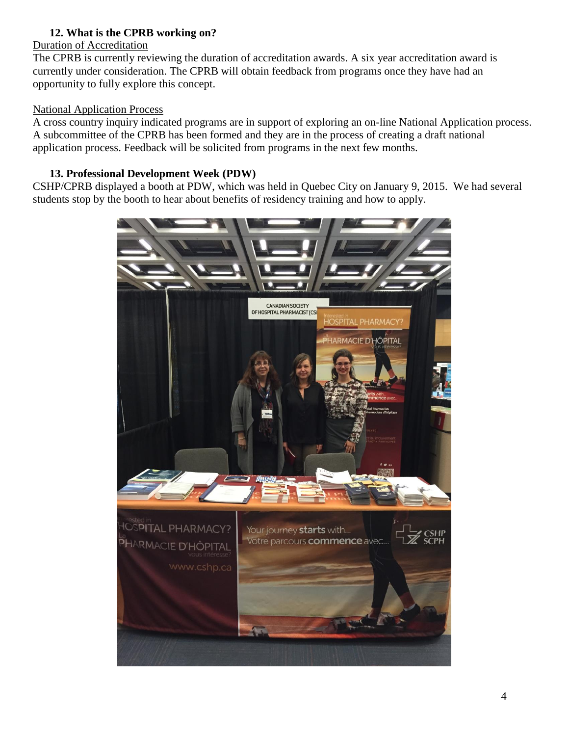# **12. What is the CPRB working on?**

#### Duration of Accreditation

The CPRB is currently reviewing the duration of accreditation awards. A six year accreditation award is currently under consideration. The CPRB will obtain feedback from programs once they have had an opportunity to fully explore this concept.

#### National Application Process

A cross country inquiry indicated programs are in support of exploring an on-line National Application process. A subcommittee of the CPRB has been formed and they are in the process of creating a draft national application process. Feedback will be solicited from programs in the next few months.

### **13. Professional Development Week (PDW)**

CSHP/CPRB displayed a booth at PDW, which was held in Quebec City on January 9, 2015. We had several students stop by the booth to hear about benefits of residency training and how to apply.